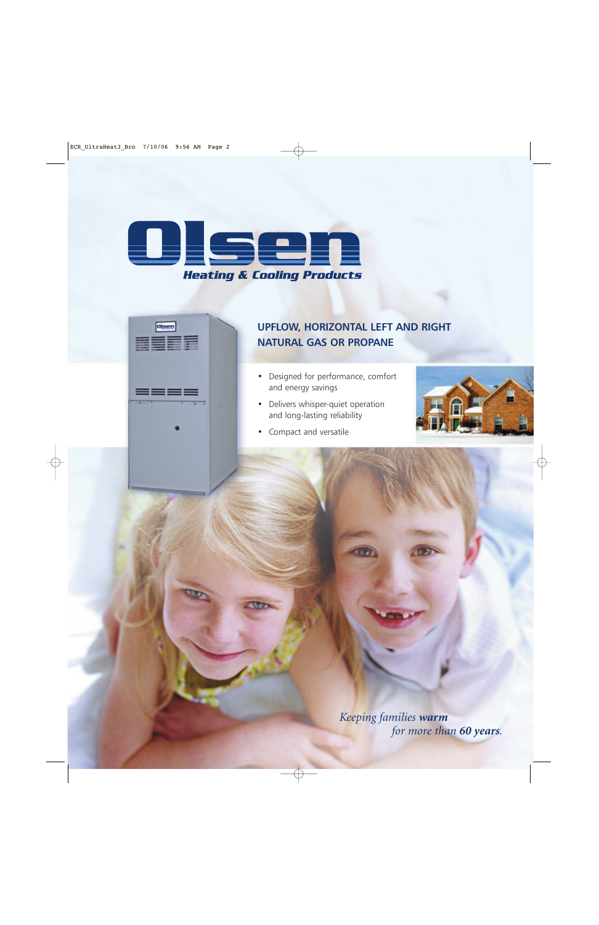

**Otsen** 

**REEF** 

 $\overline{\phantom{a}}$ 

## **UPFLOW, HORIZONTAL LEFT AND RIGHT NATURAL GAS OR PROPANE**

- Designed for performance, comfort and energy savings
- Delivers whisper-quiet operation and long-lasting reliability



• Compact and versatile

*Keeping families warm for more than 60 years.*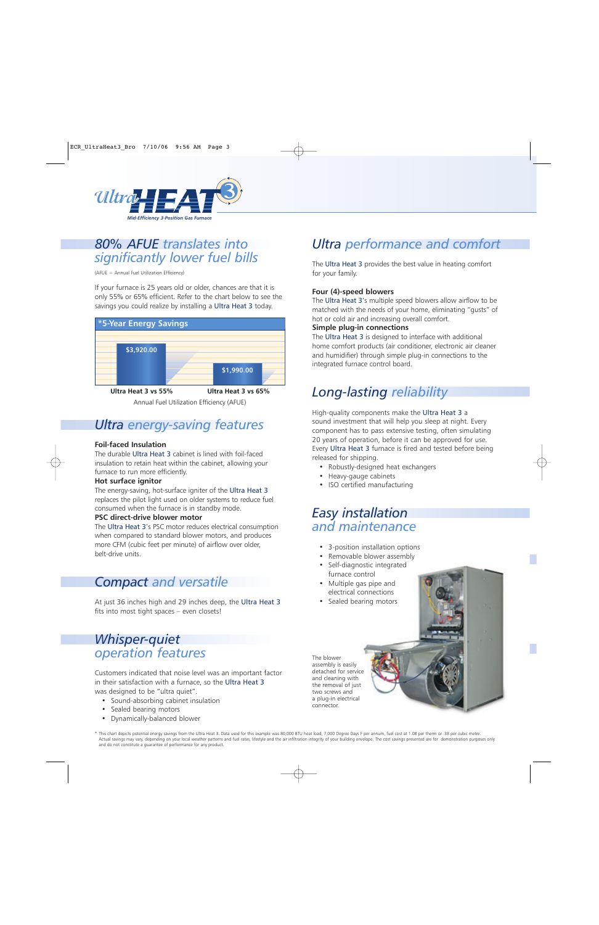

# *80% AFUE translates into significantly lower fuel bills*

(AFUE = Annual Fuel Utilization Efficiency)

If your furnace is 25 years old or older, chances are that it is only 55% or 65% efficient. Refer to the chart below to see the savings you could realize by installing a Ultra Heat 3 today.



Annual Fuel Utilization Efficiency (AFUE)

# *Ultra energy-saving features*

## **Foil-faced Insulation**

The durable Ultra Heat 3 cabinet is lined with foil-faced insulation to retain heat within the cabinet, allowing your furnace to run more efficiently.

## **Hot surface ignitor**

The energy-saving, hot-surface igniter of the Ultra Heat 3 replaces the pilot light used on older systems to reduce fuel consumed when the furnace is in standby mode.

#### **PSC direct-drive blower motor**

The Ultra Heat 3's PSC motor reduces electrical consumption when compared to standard blower motors, and produces more CFM (cubic feet per minute) of airflow over older, belt-drive units.

# *Compact and versatile*

At just 36 inches high and 29 inches deep, the Ultra Heat 3 fits into most tight spaces – even closets!

# *Whisper-quiet operation features*

Customers indicated that noise level was an important factor in their satisfaction with a furnace, so the Ultra Heat 3 was designed to be "ultra quiet".

- Sound-absorbing cabinet insulation
- Sealed bearing motors
- Dynamically-balanced blower

# *Ultra performance and comfort*

The Ultra Heat 3 provides the best value in heating comfort for your family.

## **Four (4)-speed blowers**

The Ultra Heat 3's multiple speed blowers allow airflow to be matched with the needs of your home, eliminating "gusts" of hot or cold air and increasing overall comfort.

#### **Simple plug-in connections**

The Ultra Heat 3 is designed to interface with additional home comfort products (air conditioner, electronic air cleaner and humidifier) through simple plug-in connections to the integrated furnace control board.

# *Long-lasting reliability*

High-quality components make the Ultra Heat 3 a sound investment that will help you sleep at night. Every component has to pass extensive testing, often simulating 20 years of operation, before it can be approved for use. Every Ultra Heat 3 furnace is fired and tested before being released for shipping.

- Robustly-designed heat exchangers
- Heavy-gauge cabinets
- ISO certified manufacturing

# *Easy installation and maintenance*

- 3-position installation options
- Removable blower assembly
- Self-diagnostic integrated furnace control
- Multiple gas pipe and electrical connections
- Sealed bearing motors

The blower assembly is easily detached for service and cleaning with the removal of just two screws and a plug-in electrical connector.

\* This chart depicts potential energy savings from the Ultra Heat 3. Data used for this example was 80,000 BTU heat load, 7,000 Degree Days F per annum, fuel cost at 1.08 per therm or .38 per cubic metre. Actual savings may vary, depending on your local weather patterns and fuel rates, lifestyle and the air infiltration integrity of your building envelope. The cost savings presented are for demonstration purposes only and do not constitute a guarantee of performance for any product.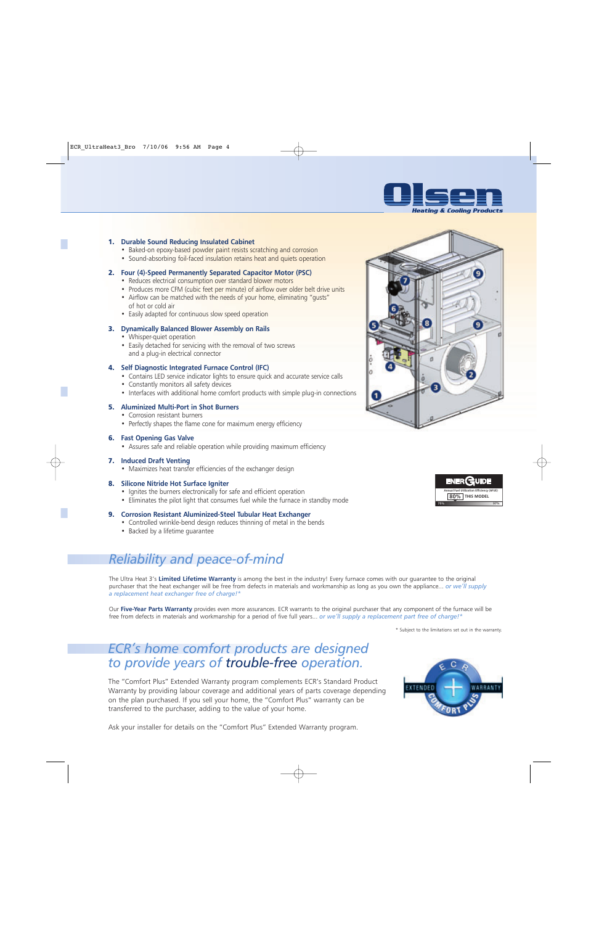

#### 1. **Durable Sound Reducing Insulated Cabinet**

- Baked-on epoxy-based powder paint resists scratching and corrosion
- Sound-absorbing foil-faced insulation retains heat and quiets operation

#### 2. **Four (4)-Speed Permanently Separated Capacitor Motor (PSC)**

- Reduces electrical consumption over standard blower motors
- Produces more CFM (cubic feet per minute) of airflow over older belt drive units
- Airflow can be matched with the needs of your home, eliminating "gusts" of hot or cold air
- Easily adapted for continuous slow speed operation

#### 3. **Dynamically Balanced Blower Assembly on Rails**

- Whisper-quiet operation
- Easily detached for servicing with the removal of two screws and a plug-in electrical connector

#### 4. **Self Diagnostic Integrated Furnace Control (IFC)**

- Contains LED service indicator lights to ensure quick and accurate service calls
- Constantly monitors all safety devices
- Interfaces with additional home comfort products with simple plug-in connections

#### 5. **Aluminized Multi-Port in Shot Burners**

- Corrosion resistant burners
- Perfectly shapes the flame cone for maximum energy efficiency

#### 6. **Fast Opening Gas Valve**

• Assures safe and reliable operation while providing maximum efficiency

#### 7. **Induced Draft Venting**

• Maximizes heat transfer efficiencies of the exchanger design

#### 8. **Silicone Nitride Hot Surface Igniter**

- Ignites the burners electronically for safe and efficient operation
- Eliminates the pilot light that consumes fuel while the furnace in standby mode

#### 9. **Corrosion Resistant Aluminized-Steel Tubular Heat Exchanger**

- Controlled wrinkle-bend design reduces thinning of metal in the bends
- Backed by a lifetime guarantee

# *Reliability and peace-of-mind*

The Ultra Heat 3's **Limited Lifetime Warranty** is among the best in the industry! Every furnace comes with our guarantee to the original purchaser that the heat exchanger will be free from defects in materials and workmanship as long as you own the appliance... *or we'll supply a replacement heat exchanger free of charge!\**

Our **Five-Year Parts Warranty** provides even more assurances. ECR warrants to the original purchaser that any component of the furnace will be free from defects in materials and workmanship for a period of five full years... *or we'll supply a replacement part free of charge!\**

\* Subject to the limitations set out in the warranty.

## *ECR's home comfort products are designed to provide years of trouble-free operation.*

The "Comfort Plus" Extended Warranty program complements ECR's Standard Product Warranty by providing labour coverage and additional years of parts coverage depending on the plan purchased. If you sell your home, the "Comfort Plus" warranty can be transferred to the purchaser, adding to the value of your home.



Ask your installer for details on the "Comfort Plus" Extended Warranty program.